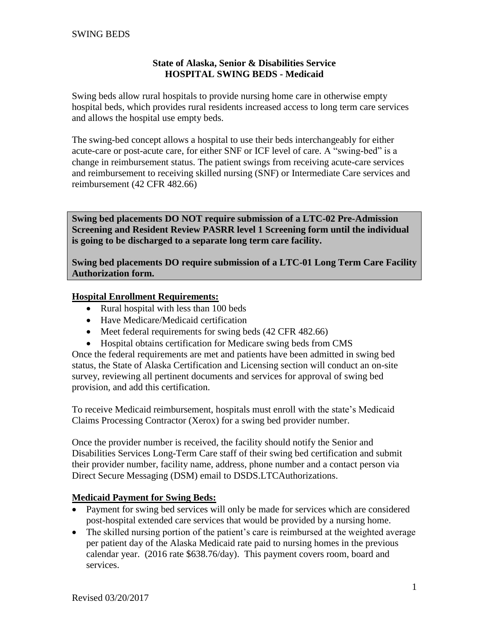## **State of Alaska, Senior & Disabilities Service HOSPITAL SWING BEDS - Medicaid**

Swing beds allow rural hospitals to provide nursing home care in otherwise empty hospital beds, which provides rural residents increased access to long term care services and allows the hospital use empty beds.

The swing-bed concept allows a hospital to use their beds interchangeably for either acute-care or post-acute care, for either SNF or ICF level of care. A "swing-bed" is a change in reimbursement status. The patient swings from receiving acute-care services and reimbursement to receiving skilled nursing (SNF) or Intermediate Care services and reimbursement (42 CFR 482.66)

**Swing bed placements DO NOT require submission of a LTC-02 Pre-Admission Screening and Resident Review PASRR level 1 Screening form until the individual is going to be discharged to a separate long term care facility.** 

**Swing bed placements DO require submission of a LTC-01 Long Term Care Facility Authorization form.**

## **Hospital Enrollment Requirements:**

- Rural hospital with less than 100 beds
- Have Medicare/Medicaid certification
- Meet federal requirements for swing beds (42 CFR 482.66)
- Hospital obtains certification for Medicare swing beds from CMS

Once the federal requirements are met and patients have been admitted in swing bed status, the State of Alaska Certification and Licensing section will conduct an on-site survey, reviewing all pertinent documents and services for approval of swing bed provision, and add this certification.

To receive Medicaid reimbursement, hospitals must enroll with the state's Medicaid Claims Processing Contractor (Xerox) for a swing bed provider number.

Once the provider number is received, the facility should notify the Senior and Disabilities Services Long-Term Care staff of their swing bed certification and submit their provider number, facility name, address, phone number and a contact person via Direct Secure Messaging (DSM) email to DSDS.LTCAuthorizations.

## **Medicaid Payment for Swing Beds:**

- Payment for swing bed services will only be made for services which are considered post-hospital extended care services that would be provided by a nursing home.
- The skilled nursing portion of the patient's care is reimbursed at the weighted average per patient day of the Alaska Medicaid rate paid to nursing homes in the previous calendar year. (2016 rate \$638.76/day). This payment covers room, board and services.